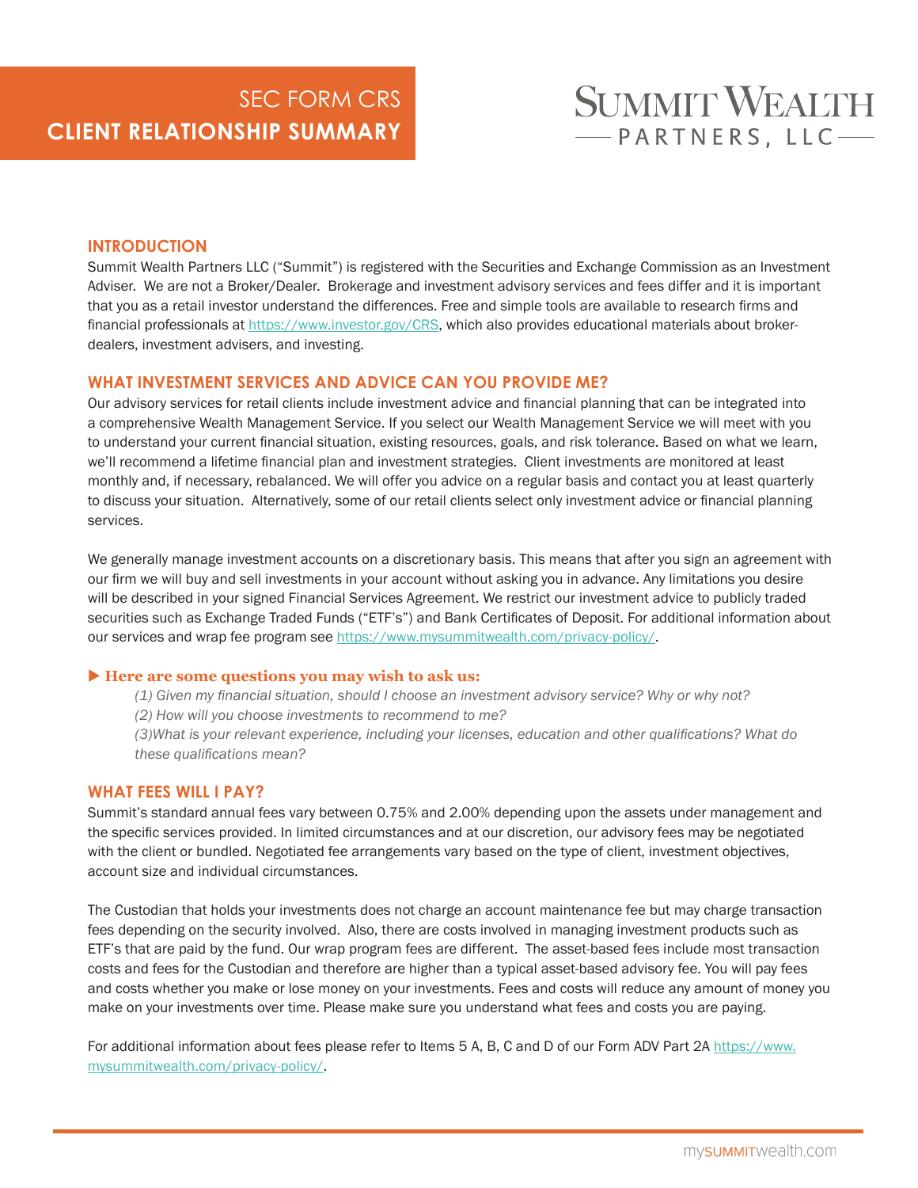# **SUMMIT WEALTH** -PARTNERS, LLC-

# **INTRODUCTION**

Summit Wealth Partners LLC ("Summit") is registered with the Securities and Exchange Commission as an Investment Adviser. We are not a Broker/Dealer. Brokerage and investment advisory services and fees differ and it is important that you as a retail investor understand the differences. Free and simple tools are available to research firms and financial professionals at https://www.investor.gov/CRS, which also provides educational materials about brokerdealers, investment advisers, and investing.

## **WHAT INVESTMENT SERVICES AND ADVICE CAN YOU PROVIDE ME?**

Our advisory services for retail clients include investment advice and financial planning that can be integrated into a comprehensive Wealth Management Service. If you select our Wealth Management Service we will meet with you to understand your current financial situation, existing resources, goals, and risk tolerance. Based on what we learn, we'll recommend a lifetime financial plan and investment strategies. Client investments are monitored at least monthly and, if necessary, rebalanced. We will offer you advice on a regular basis and contact you at least quarterly to discuss your situation. Alternatively, some of our retail clients select only investment advice or financial planning services.

We generally manage investment accounts on a discretionary basis. This means that after you sign an agreement with our firm we will buy and sell investments in your account without asking you in advance. Any limitations you desire will be described in your signed Financial Services Agreement. We restrict our investment advice to publicly traded securities such as Exchange Traded Funds ("ETF's") and Bank Certificates of Deposit. For additional information about our services and wrap fee program see https://www.mysummitwealth.com/privacy-policy/.

## **Here are some questions you may wish to ask us:**

*(1) Given my financial situation, should I choose an investment advisory service? Why or why not? (2) How will you choose investments to recommend to me?* 

*(3)What is your relevant experience, including your licenses, education and other qualifications? What do these qualifications mean?* 

# **WHAT FEES WILL I PAY?**

Summit's standard annual fees vary between 0.75% and 2.00% depending upon the assets under management and the specific services provided. In limited circumstances and at our discretion, our advisory fees may be negotiated with the client or bundled. Negotiated fee arrangements vary based on the type of client, investment objectives, account size and individual circumstances.

The Custodian that holds your investments does not charge an account maintenance fee but may charge transaction fees depending on the security involved. Also, there are costs involved in managing investment products such as ETF's that are paid by the fund. Our wrap program fees are different. The asset-based fees include most transaction costs and fees for the Custodian and therefore are higher than a typical asset-based advisory fee. You will pay fees and costs whether you make or lose money on your investments. Fees and costs will reduce any amount of money you make on your investments over time. Please make sure you understand what fees and costs you are paying.

For additional information about fees please refer to Items 5 A, B, C and D of our Form ADV Part 2A https://www. mysummitwealth.com/privacy-policy/.